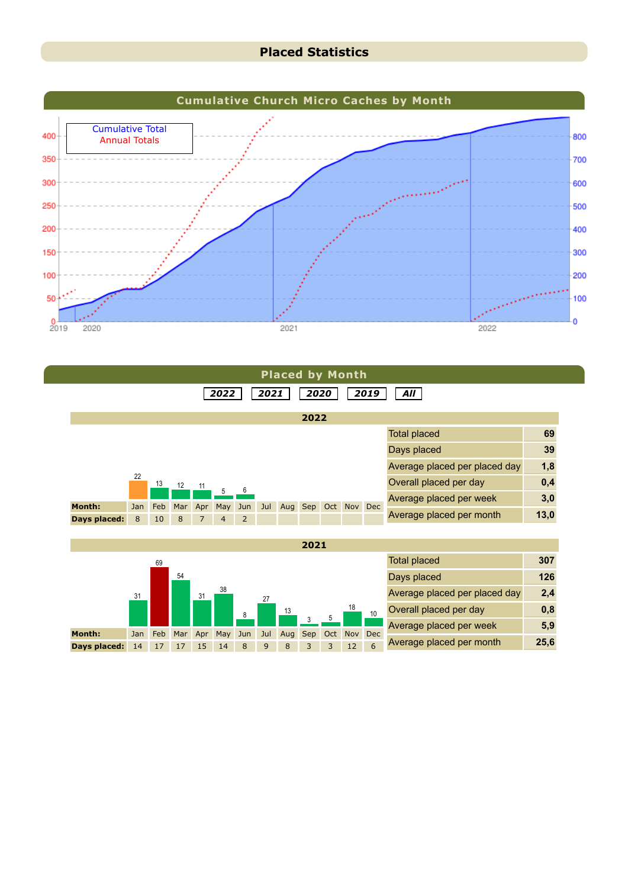### **Placed Statistics**



|               |          |           |          |     |                       |                       |      |     | <b>Placed by Month</b> |     |            |            |                               |      |
|---------------|----------|-----------|----------|-----|-----------------------|-----------------------|------|-----|------------------------|-----|------------|------------|-------------------------------|------|
|               |          |           |          |     | 2022                  |                       | 2021 |     | 2020                   |     |            | 2019       | All                           |      |
|               |          |           |          |     |                       |                       |      |     | 2022                   |     |            |            |                               |      |
|               |          |           |          |     |                       |                       |      |     |                        |     |            |            | <b>Total placed</b>           | 69   |
|               |          |           |          |     |                       |                       |      |     |                        |     |            |            | Days placed                   | 39   |
|               |          |           |          |     |                       |                       |      |     |                        |     |            |            | Average placed per placed day | 1,8  |
|               | 22       | 13        | 12       | 11  |                       |                       |      |     |                        |     |            |            | Overall placed per day        | 0,4  |
| <b>Month:</b> |          |           |          |     | 5                     | 6                     |      |     |                        |     |            |            | Average placed per week       | 3,0  |
| Days placed:  | Jan<br>8 | Feb<br>10 | Mar<br>8 | Apr | May<br>$\overline{4}$ | Jun<br>$\overline{2}$ | Jul  | Aug | Sep                    | Oct | <b>Nov</b> | Dec        | Average placed per month      | 13,0 |
|               |          |           |          |     |                       |                       |      |     |                        |     |            |            |                               |      |
|               |          |           |          |     |                       |                       |      |     | 2021                   |     |            |            |                               |      |
|               |          | 69        |          |     |                       |                       |      |     |                        |     |            |            | <b>Total placed</b>           | 307  |
|               |          |           | 54       |     |                       |                       |      |     |                        |     |            |            | Days placed                   | 126  |
|               | 31       |           |          | 31  | 38                    |                       | 27   |     |                        |     |            |            | Average placed per placed day | 2,4  |
|               |          |           |          |     |                       | 8                     |      | 13  |                        |     | 18         | 10         | Overall placed per day        | 0,8  |
| <b>Month:</b> |          |           |          |     |                       |                       |      |     | Sep                    |     |            | <b>Dec</b> | Average placed per week       | 5,9  |
|               | Jan      | Feb       |          |     | Mar Apr May           | Jun                   | Jul  | Aug |                        | Oct | <b>Nov</b> |            |                               |      |

**Days placed:** 14 17 17 15 14 8 9 8 3 3 12 6

Average placed per month **25,6**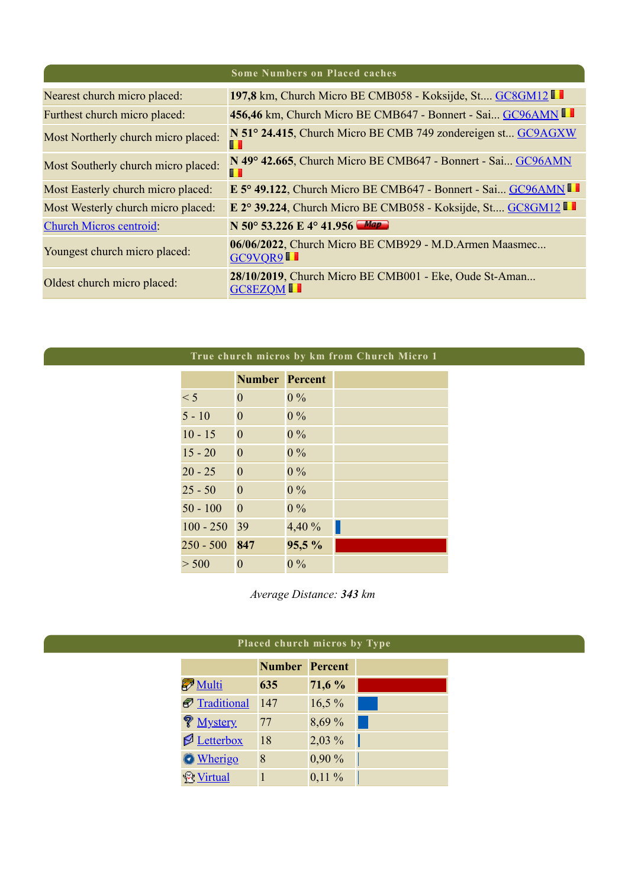|                                     | <b>Some Numbers on Placed caches</b>                                            |
|-------------------------------------|---------------------------------------------------------------------------------|
| Nearest church micro placed:        | 197,8 km, Church Micro BE CMB058 - Koksijde, St GC8GM12                         |
| Furthest church micro placed:       | 456,46 km, Church Micro BE CMB647 - Bonnert - Sai GC96AMN                       |
| Most Northerly church micro placed: | N 51° 24.415, Church Micro BE CMB 749 zondereigen st GC9AGXW<br>ш               |
| Most Southerly church micro placed: | N 49° 42.665, Church Micro BE CMB647 - Bonnert - Sai GC96AMN<br>ш               |
| Most Easterly church micro placed:  | E 5° 49.122, Church Micro BE CMB647 - Bonnert - Sai GC96AMN                     |
| Most Westerly church micro placed:  | E 2° 39.224, Church Micro BE CMB058 - Koksijde, St GC8GM12                      |
| <b>Church Micros centroid:</b>      | N 50° 53.226 E 4° 41.956 Map                                                    |
| Youngest church micro placed:       | 06/06/2022, Church Micro BE CMB929 - M.D.Armen Maasmec<br>GC9VQR9 <sup>II</sup> |
| Oldest church micro placed:         | 28/10/2019, Church Micro BE CMB001 - Eke, Oude St-Aman<br><b>GC8EZOMIL</b>      |

|             |                       |        | True church micros by km from Church Micro 1 |
|-------------|-----------------------|--------|----------------------------------------------|
|             | <b>Number Percent</b> |        |                                              |
| < 5         | $\theta$              | $0\%$  |                                              |
| $5 - 10$    | $\mathbf{0}$          | $0\%$  |                                              |
| $10 - 15$   | $\mathbf{0}$          | $0\%$  |                                              |
| $15 - 20$   | $\theta$              | $0\%$  |                                              |
| $20 - 25$   | $\theta$              | $0\%$  |                                              |
| $25 - 50$   | $\theta$              | $0\%$  |                                              |
| $50 - 100$  | $\overline{0}$        | $0\%$  |                                              |
| $100 - 250$ | 39                    | 4,40 % |                                              |
| $250 - 500$ | 847                   | 95,5 % |                                              |
| > 500       | 0                     | $0\%$  |                                              |

*Average Distance: 343 km*

|                              | Placed church micros by Type |          |  |  |  |  |  |  |  |
|------------------------------|------------------------------|----------|--|--|--|--|--|--|--|
|                              | <b>Number Percent</b>        |          |  |  |  |  |  |  |  |
| $\bar{\mathcal{D}}$ Multi    | 635                          | 71,6 %   |  |  |  |  |  |  |  |
| Traditional                  | 147                          | 16,5%    |  |  |  |  |  |  |  |
| <b>V</b> Mystery             | 77                           | 8,69 %   |  |  |  |  |  |  |  |
| $\mathcal{P}$ Letterbox      | 18                           | 2,03 %   |  |  |  |  |  |  |  |
| <b>O</b> Wherigo             | 8                            | 0,90%    |  |  |  |  |  |  |  |
| <b><i><u>Wirtual</u></i></b> | $\mathbf{1}$                 | $0,11\%$ |  |  |  |  |  |  |  |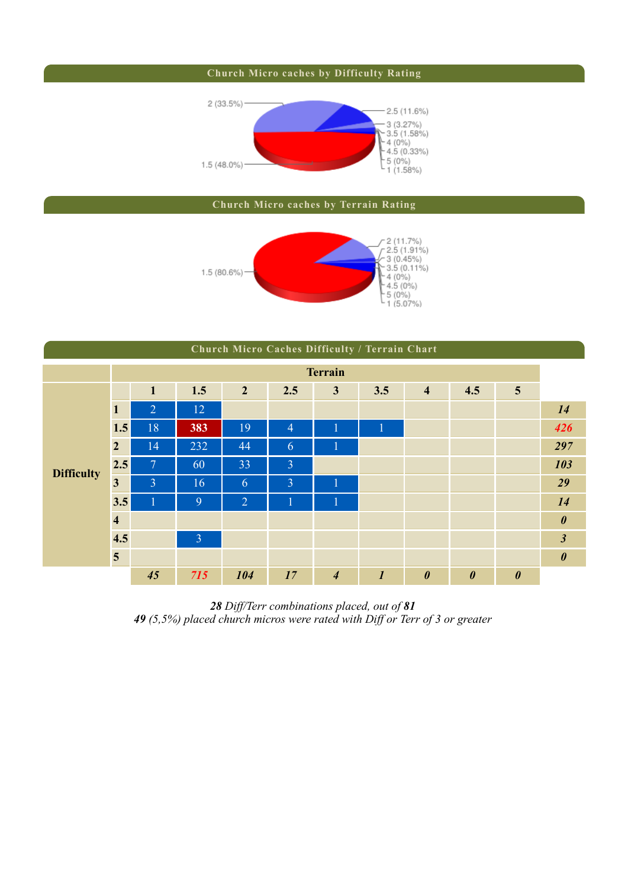### **Church Micro caches by Difficulty Rating**



### **Church Micro caches by Terrain Rating**



|                   | Church Micro Caches Difficulty / Terrain Chart |                         |                |                |                |                |                         |                         |                       |                       |                       |  |
|-------------------|------------------------------------------------|-------------------------|----------------|----------------|----------------|----------------|-------------------------|-------------------------|-----------------------|-----------------------|-----------------------|--|
| <b>Terrain</b>    |                                                |                         |                |                |                |                |                         |                         |                       |                       |                       |  |
|                   |                                                | $\mathbf{1}$            | 1.5            | $\overline{2}$ | 2.5            | $\mathbf{3}$   | 3.5                     | $\overline{\mathbf{4}}$ | 4.5                   | $\overline{5}$        |                       |  |
|                   | 1                                              | $\overline{2}$          | 12             |                |                |                |                         |                         |                       |                       | 14                    |  |
|                   | 1.5                                            | 18                      | 383            | 19             | $\overline{4}$ | I              | $\overline{\mathbf{1}}$ |                         |                       |                       | 426                   |  |
|                   | $\overline{2}$                                 | 14                      | 232            | 44             | 6              | $\mathbf{1}$   |                         |                         |                       |                       | 297                   |  |
| <b>Difficulty</b> | 2.5                                            | $\overline{\mathbf{7}}$ | 60             | 33             | $\overline{3}$ |                |                         |                         |                       |                       | 103                   |  |
|                   | $\overline{\mathbf{3}}$                        | $\overline{3}$          | 16             | 6              | $\overline{3}$ | 1              |                         |                         |                       |                       | 29                    |  |
|                   | 3.5                                            |                         | 9              | $\overline{2}$ |                | 1              |                         |                         |                       |                       | 14                    |  |
|                   | $\overline{\mathbf{4}}$                        |                         |                |                |                |                |                         |                         |                       |                       | $\boldsymbol{\theta}$ |  |
|                   | 4.5                                            |                         | $\overline{3}$ |                |                |                |                         |                         |                       |                       | $\mathfrak{z}$        |  |
|                   | 5                                              |                         |                |                |                |                |                         |                         |                       |                       | $\boldsymbol{\theta}$ |  |
|                   |                                                | 45                      | 715            | 104            | 17             | $\overline{4}$ | $\boldsymbol{l}$        | $\boldsymbol{\theta}$   | $\boldsymbol{\theta}$ | $\boldsymbol{\theta}$ |                       |  |

*28 Diff/Terr combinations placed, out of 81 49 (5,5%) placed church micros were rated with Diff or Terr of 3 or greater*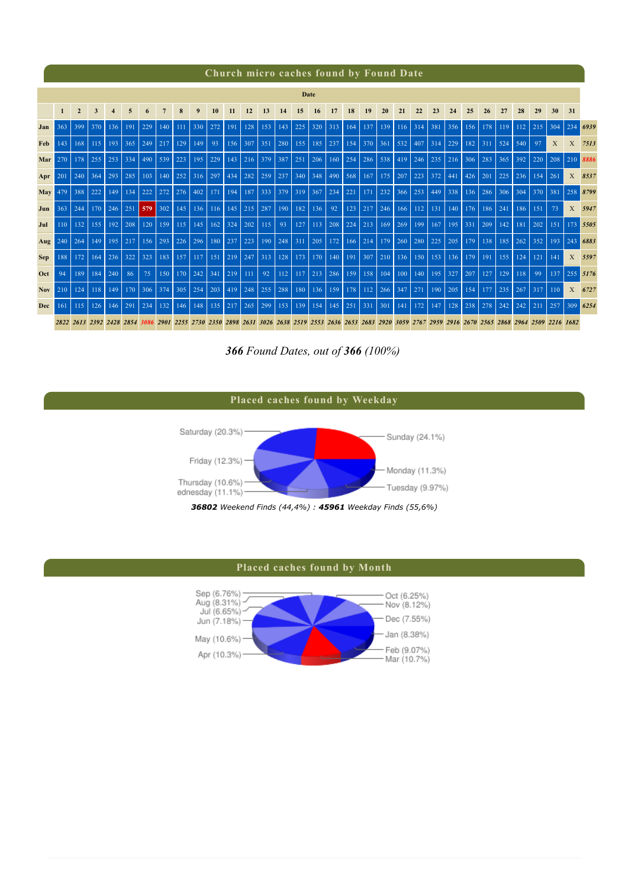### **Church micro caches found by Found Date**

|            | Date         |                |             |     |                                                                                                                                                            |           |                |                               |                                           |                   |     |                        |                         |             |     |     |     |                   |     |     |     |        |     |     |     |                |     |     |                |              |              |          |
|------------|--------------|----------------|-------------|-----|------------------------------------------------------------------------------------------------------------------------------------------------------------|-----------|----------------|-------------------------------|-------------------------------------------|-------------------|-----|------------------------|-------------------------|-------------|-----|-----|-----|-------------------|-----|-----|-----|--------|-----|-----|-----|----------------|-----|-----|----------------|--------------|--------------|----------|
|            | $\mathbf{1}$ | $\overline{2}$ | 3           | 4   | 5                                                                                                                                                          |           |                | $\bf{R}$                      | 9                                         | 10                | 11  | 12                     | 13                      | 14          | 15  | 16  | 17  | 18                | 19  | 20  | 21  | 22     | 23  | 24  | 25  | 26             | 27  | 28  | 29             | 30           | 31           |          |
| Jan        | 363          | 399            | 370         | 136 | 191                                                                                                                                                        | 229       | 140            | 111                           | $ 330\rangle$                             | 272               | 191 | 128                    | 153                     | 143         | 225 | 320 | 313 | 164               | 137 | 139 | 116 | 314    | 381 | 356 | 156 | 178            | 119 | 112 | 215            | 304          | 234          | 6939     |
| <b>Feb</b> | 143          |                | $168$   115 |     | $193 \mid 365$                                                                                                                                             |           |                | 129                           | 149                                       | $-93$             |     |                        | $156$   307   351   280 |             | 155 |     |     | $185$   237   154 | 370 | 361 | 532 | 407    | 314 | 229 | 182 | 311            | 524 | 540 | 97             | $\mathbf{X}$ | $\mathbf{X}$ | 7513     |
| Mar        | 270          | 178            | 255         | 253 | 334                                                                                                                                                        | 490       | 539            | 223                           |                                           | 195 229           |     |                        | $143$   216   379       | 387         | 251 | 206 |     | $160$ 254         | 286 | 538 | 419 | 246    | 235 | 216 | 306 | 283            | 365 | 392 | 220            | 208          |              | 210 8886 |
| Apr        | -201         | 240            | 364         | 293 | 285                                                                                                                                                        |           | $103 \mid 140$ | $ 252 316$ 297 $ 434 282 259$ |                                           |                   |     |                        |                         | 237         | 340 | 348 |     | $490$ 568         | 167 | 175 | 207 | 223    | 372 | 441 | 426 | 201            | 225 | 236 | 154            | 261          |              | X 8537   |
| May        | 479          | 388            | 222         | 149 | 134                                                                                                                                                        | 222       | 272            | 276                           | $ 402\rangle$                             | 171               | 194 |                        | 187 333 379             |             | 319 | 367 | 234 | 221               | 171 | 232 | 366 | 253    | 449 | 338 | 136 | 286            | 306 | 304 | 370            | 381          |              | 258 8799 |
| Jun        | 363          | 244            | 170         | 246 | 251                                                                                                                                                        | $579$ 302 |                | 145                           |                                           | 136 116           |     |                        | $145$ 215 287           | 190         | 182 | 136 | 92  | 123               | 217 | 246 | 166 | $-112$ | 131 | 140 | 176 | 186            | 241 | 186 | 151            | 73           |              | X 5947   |
| Jul        | 110          | 132            | 155         | 192 | 208                                                                                                                                                        | 120       | 159            |                               |                                           | $115$   145   162 | 324 |                        | $202$ 115               | 93          | 127 | 113 | 208 | 224               | 213 | 169 | 269 | 199    | 167 | 195 | 331 | 209            | 142 | 181 | 202            | 151          |              | 173 5505 |
| Aug        | 240          | 264            | 149         |     | $195$   217                                                                                                                                                | $156$ 293 |                | 226                           | 296                                       | 180               | 237 | 223                    |                         | $190$   248 | 311 | 205 | 172 | 166               | 214 | 179 | 260 | 280    | 225 | 205 | 179 | 138            | 185 | 262 | 352            | 193          |              | 243 6883 |
| <b>Sep</b> | 188          | 172            | 164         | 236 | 322                                                                                                                                                        | 323       | 183            |                               |                                           | $157$ 117 151     |     |                        | 219 247 313             | 128         | 173 | 170 | 140 | 191               | 307 | 210 | 136 | 150    | 153 | 136 | 179 | <sup>191</sup> | 155 | 124 | <sup>121</sup> | 141          |              | X 5597   |
| Oct        | 94           | 189            | 184         | 240 | -86                                                                                                                                                        | 75        | <b>150</b>     |                               | $170$ 242 341                             |                   | 219 | 111                    | 92                      | 112         | 117 | 213 | 286 | 159               | 158 | 104 | 100 | 140    | 195 | 327 | 207 | 127            | 129 | 118 | 99             | 137          |              | 255 5176 |
| <b>Nov</b> | 210          | 124            | 118         | 149 | 170                                                                                                                                                        | $306$ 374 |                | 305                           | $\begin{vmatrix} 254 & 203 \end{vmatrix}$ |                   |     | $19 \mid 248 \mid 255$ |                         | 288         | 180 | 136 | 159 | 178               | 112 | 266 | 347 | 271    | 190 | 205 | 154 | 177            | 235 | 267 | 317            | 110          |              | X 6727   |
| Dec        | 161          | 115            | 126         | 146 | 291                                                                                                                                                        | 234       | 132            | 146                           | 148                                       | 135               | 217 | 265                    | 299                     | 153         | 139 | 154 | 145 | 251               | 331 | 301 | 141 | 172    | 147 | 128 | 238 | 278            | 242 | 242 | 211            | 257          |              | 309 6254 |
|            |              |                |             |     | 2822 2613 2392 2428 2854 3086 2901 2255 2730 2350 2898 2631 3026 2638 2519 2553 2636 2653 2683 2920 3059 2767 2959 2916 2670 2565 2868 2964 2509 2216 1682 |           |                |                               |                                           |                   |     |                        |                         |             |     |     |     |                   |     |     |     |        |     |     |     |                |     |     |                |              |              |          |

*366 Found Dates, out of 366 (100%)* 



#### **Placed caches found by Month**

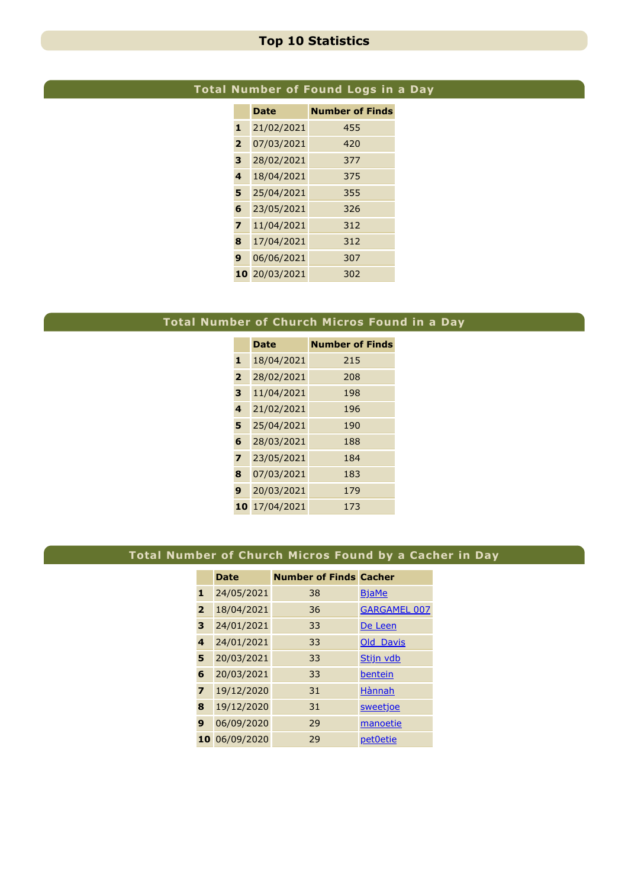## **Top 10 Statistics**

# **Total Number of Found Logs in a Day**

|                | <b>Date</b> | <b>Number of Finds</b> |
|----------------|-------------|------------------------|
| 1              | 21/02/2021  | 455                    |
| $\overline{2}$ | 07/03/2021  | 420                    |
| 3              | 28/02/2021  | 377                    |
| 4              | 18/04/2021  | 375                    |
| 5              | 25/04/2021  | 355                    |
| 6              | 23/05/2021  | 326                    |
| 7              | 11/04/2021  | 312                    |
| 8              | 17/04/2021  | 312                    |
| 9              | 06/06/2021  | 307                    |
| 10             | 20/03/2021  | 302                    |

# **Total Number of Church Micros Found in a Day**

|                         | <b>Date</b> | <b>Number of Finds</b> |
|-------------------------|-------------|------------------------|
| 1                       | 18/04/2021  | 215                    |
| $\overline{2}$          | 28/02/2021  | 208                    |
| 3                       | 11/04/2021  | 198                    |
| $\overline{\mathbf{A}}$ | 21/02/2021  | 196                    |
| 5                       | 25/04/2021  | 190                    |
| 6                       | 28/03/2021  | 188                    |
| $\overline{\mathbf{z}}$ | 23/05/2021  | 184                    |
| 8                       | 07/03/2021  | 183                    |
| 9                       | 20/03/2021  | 179                    |
| 10                      | 17/04/2021  | 173                    |

# **Total Number of Church Micros Found by a Cacher in Day**

|                         | <b>Date</b> | <b>Number of Finds Cacher</b> |                     |
|-------------------------|-------------|-------------------------------|---------------------|
| 1                       | 24/05/2021  | 38                            | <b>BjaMe</b>        |
| $\overline{2}$          | 18/04/2021  | 36                            | <b>GARGAMEL 007</b> |
| 3                       | 24/01/2021  | 33                            | De Leen             |
| $\overline{\mathbf{4}}$ | 24/01/2021  | 33                            | Old Davis           |
| 5                       | 20/03/2021  | 33                            | Stijn vdb           |
| 6                       | 20/03/2021  | 33                            | bentein             |
| $\overline{\mathbf{z}}$ | 19/12/2020  | 31                            | Hànnah              |
| 8                       | 19/12/2020  | 31                            | sweetjoe            |
| 9                       | 06/09/2020  | 29                            | manoetie            |
| 10                      | 06/09/2020  | 29                            | pet0etie            |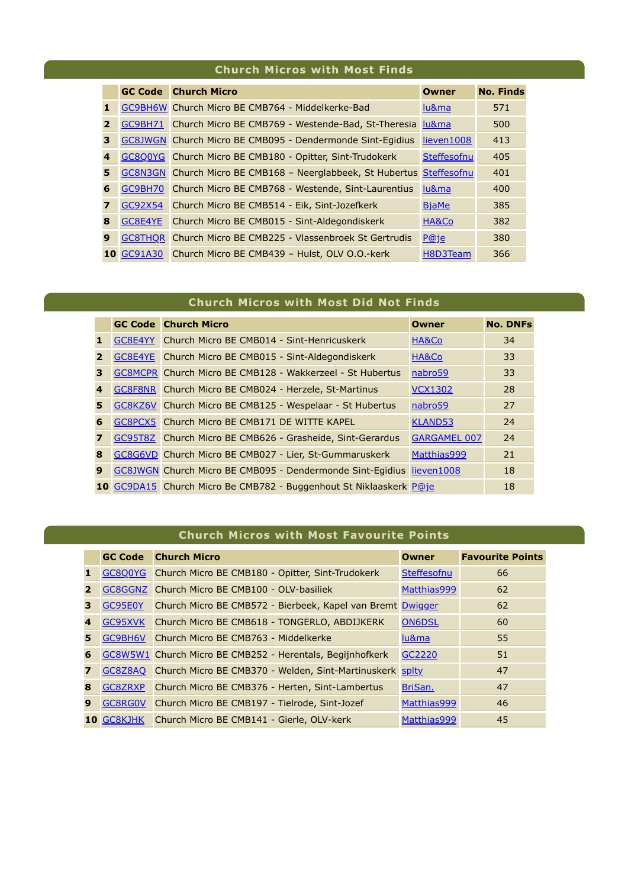## **Church Micros with Most Finds**

|              |                   | <b>GC Code</b> Church Micro                                       | Owner        | <b>No. Finds</b> |
|--------------|-------------------|-------------------------------------------------------------------|--------------|------------------|
| 1.           |                   | GC9BH6W Church Micro BE CMB764 - Middelkerke-Bad                  | lu&ma        | 571              |
| $\mathbf{2}$ |                   | GC9BH71 Church Micro BE CMB769 - Westende-Bad, St-Theresia        | lu&ma        | 500              |
| 3            |                   | GC8JWGN Church Micro BE CMB095 - Dendermonde Sint-Eqidius         | lieven1008   | 413              |
| 4            |                   | GC8Q0YG Church Micro BE CMB180 - Opitter, Sint-Trudokerk          | Steffesofnu  | 405              |
| 5            |                   | GC8N3GN Church Micro BE CMB168 - Neerglabbeek, St Hubertus        | Steffesofnu  | 401              |
| 6            |                   | GC9BH70 Church Micro BE CMB768 - Westende, Sint-Laurentius        | lu&ma        | 400              |
| 7            | GC92X54           | Church Micro BE CMB514 - Eik, Sint-Jozefkerk                      | <b>BjaMe</b> | 385              |
| 8            | GC8E4YE           | Church Micro BE CMB015 - Sint-Aldegondiskerk                      | HA&Co        | 382              |
| 9            |                   | <b>GC8THOR Church Micro BE CMB225 - Vlassenbroek St Gertrudis</b> | P@je         | 380              |
|              | <b>10 GC91A30</b> | Church Micro BE CMB439 - Hulst, OLV O.O.-kerk                     | H8D3Team     | 366              |

# **Church Micros with Most Did Not Finds**

|                  | <b>GC Code Church Micro</b>                                          | <b>Owner</b>        | <b>No. DNFs</b> |
|------------------|----------------------------------------------------------------------|---------------------|-----------------|
| $\mathbf{1}$     | GC8E4YY Church Micro BE CMB014 - Sint-Henricuskerk                   | HA&Co               | 34              |
| $\overline{2}$   | GC8E4YE Church Micro BE CMB015 - Sint-Aldegondiskerk                 | HA&Co               | 33              |
| 3                | GC8MCPR Church Micro BE CMB128 - Wakkerzeel - St Hubertus            | nabro59             | 33              |
| 4                | GC8F8NR Church Micro BE CMB024 - Herzele, St-Martinus                | <b>VCX1302</b>      | 28              |
| 5                | GC8KZ6V Church Micro BE CMB125 - Wespelaar - St Hubertus             | nabro <sub>59</sub> | 27              |
| 6                | GC8PCX5 Church Micro BE CMB171 DE WITTE KAPEL                        | <b>KLAND53</b>      | 24              |
| $\boldsymbol{7}$ | GC95T8Z Church Micro BE CMB626 - Grasheide, Sint-Gerardus            | <b>GARGAMEL 007</b> | 24              |
| 8                | GC8G6VD Church Micro BE CMB027 - Lier, St-Gummaruskerk               | Matthias999         | 21              |
| 9                | GC8JWGN Church Micro BE CMB095 - Dendermonde Sint-Eqidius lieven1008 |                     | 18              |
|                  | 10 GC9DA15 Church Micro Be CMB782 - Buggenhout St Niklaaskerk P@je   |                     | 18              |

### **Church Micros with Most Favourite Points**

|                |            | <b>GC Code</b> Church Micro                                      | <b>Owner</b>  | <b>Favourite Points</b> |
|----------------|------------|------------------------------------------------------------------|---------------|-------------------------|
| $\mathbf{1}$   |            | GC8Q0YG Church Micro BE CMB180 - Opitter, Sint-Trudokerk         | Steffesofnu   | 66                      |
| $\mathbf{2}$   |            | GC8GGNZ Church Micro BE CMB100 - OLV-basiliek                    | Matthias999   | 62                      |
| 3              | GC95E0Y    | Church Micro BE CMB572 - Bierbeek, Kapel van Bremt Dwigger       |               | 62                      |
| 4              |            | GC95XVK Church Micro BE CMB618 - TONGERLO, ABDIJKERK             | <b>ON6DSL</b> | 60                      |
| 5.             | GC9BH6V    | Church Micro BE CMB763 - Middelkerke                             | lu&ma         | 55                      |
| 6              |            | GC8W5W1 Church Micro BE CMB252 - Herentals, Begijnhofkerk        | GC2220        | 51                      |
| $\overline{7}$ |            | GC8Z8AQ Church Micro BE CMB370 - Welden, Sint-Martinuskerk splty |               | 47                      |
| 8              | GC8ZRXP    | Church Micro BE CMB376 - Herten, Sint-Lambertus                  | BriSan.       | 47                      |
| 9              | GC8RG0V    | Church Micro BE CMB197 - Tielrode, Sint-Jozef                    | Matthias999   | 46                      |
|                | 10 GC8KJHK | Church Micro BE CMB141 - Gierle, OLV-kerk                        | Matthias999   | 45                      |